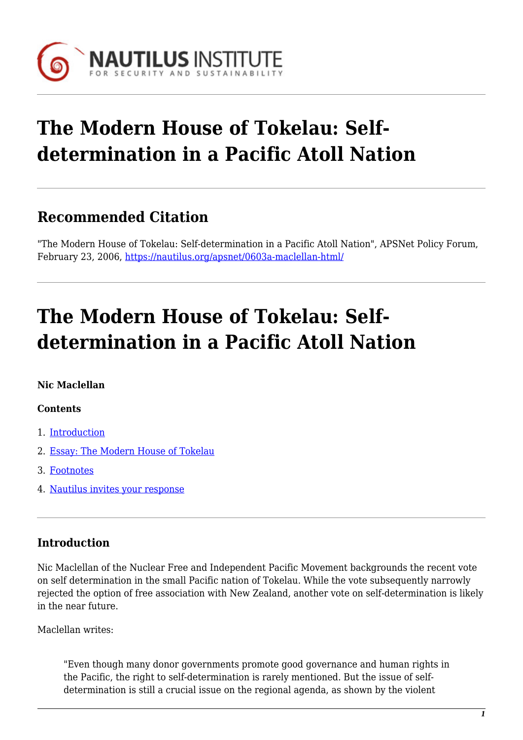

# **The Modern House of Tokelau: Selfdetermination in a Pacific Atoll Nation**

# **Recommended Citation**

"The Modern House of Tokelau: Self-determination in a Pacific Atoll Nation", APSNet Policy Forum, February 23, 2006,<https://nautilus.org/apsnet/0603a-maclellan-html/>

# **The Modern House of Tokelau: Selfdetermination in a Pacific Atoll Nation**

#### **Nic Maclellan**

#### **Contents**

- 1. [Introduction](#page--1-0)
- 2. [Essay: The Modern House of Tokelau](#page--1-0)
- 3. [Footnotes](#page--1-0)
- 4. [Nautilus invites your response](#page--1-0)

### **Introduction**

Nic Maclellan of the Nuclear Free and Independent Pacific Movement backgrounds the recent vote on self determination in the small Pacific nation of Tokelau. While the vote subsequently narrowly rejected the option of free association with New Zealand, another vote on self-determination is likely in the near future.

Maclellan writes:

"Even though many donor governments promote good governance and human rights in the Pacific, the right to self-determination is rarely mentioned. But the issue of selfdetermination is still a crucial issue on the regional agenda, as shown by the violent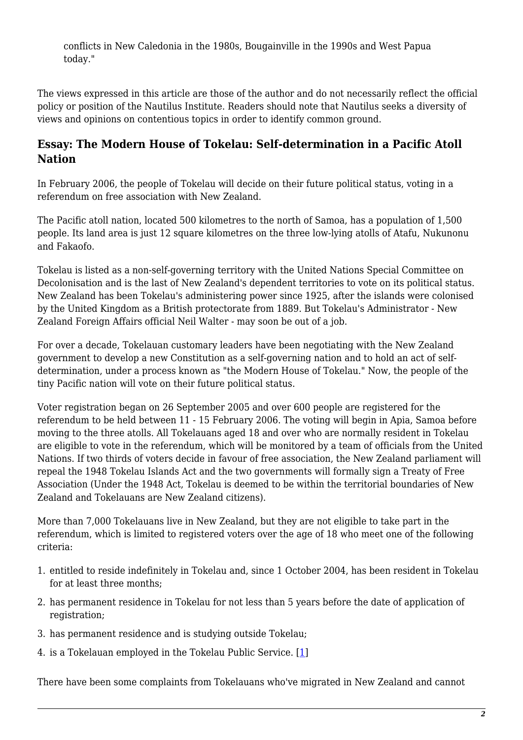conflicts in New Caledonia in the 1980s, Bougainville in the 1990s and West Papua today."

The views expressed in this article are those of the author and do not necessarily reflect the official policy or position of the Nautilus Institute. Readers should note that Nautilus seeks a diversity of views and opinions on contentious topics in order to identify common ground.

#### **Essay: The Modern House of Tokelau: Self-determination in a Pacific Atoll Nation**

In February 2006, the people of Tokelau will decide on their future political status, voting in a referendum on free association with New Zealand.

The Pacific atoll nation, located 500 kilometres to the north of Samoa, has a population of 1,500 people. Its land area is just 12 square kilometres on the three low-lying atolls of Atafu, Nukunonu and Fakaofo.

Tokelau is listed as a non-self-governing territory with the United Nations Special Committee on Decolonisation and is the last of New Zealand's dependent territories to vote on its political status. New Zealand has been Tokelau's administering power since 1925, after the islands were colonised by the United Kingdom as a British protectorate from 1889. But Tokelau's Administrator - New Zealand Foreign Affairs official Neil Walter - may soon be out of a job.

For over a decade, Tokelauan customary leaders have been negotiating with the New Zealand government to develop a new Constitution as a self-governing nation and to hold an act of selfdetermination, under a process known as "the Modern House of Tokelau." Now, the people of the tiny Pacific nation will vote on their future political status.

Voter registration began on 26 September 2005 and over 600 people are registered for the referendum to be held between 11 - 15 February 2006. The voting will begin in Apia, Samoa before moving to the three atolls. All Tokelauans aged 18 and over who are normally resident in Tokelau are eligible to vote in the referendum, which will be monitored by a team of officials from the United Nations. If two thirds of voters decide in favour of free association, the New Zealand parliament will repeal the 1948 Tokelau Islands Act and the two governments will formally sign a Treaty of Free Association (Under the 1948 Act, Tokelau is deemed to be within the territorial boundaries of New Zealand and Tokelauans are New Zealand citizens).

More than 7,000 Tokelauans live in New Zealand, but they are not eligible to take part in the referendum, which is limited to registered voters over the age of 18 who meet one of the following criteria:

- 1. entitled to reside indefinitely in Tokelau and, since 1 October 2004, has been resident in Tokelau for at least three months;
- 2. has permanent residence in Tokelau for not less than 5 years before the date of application of registration:
- 3. has permanent residence and is studying outside Tokelau;
- <span id="page-1-0"></span>4. is a Tokelauan employed in the Tokelau Public Service. [\[1](#page-6-0)]

There have been some complaints from Tokelauans who've migrated in New Zealand and cannot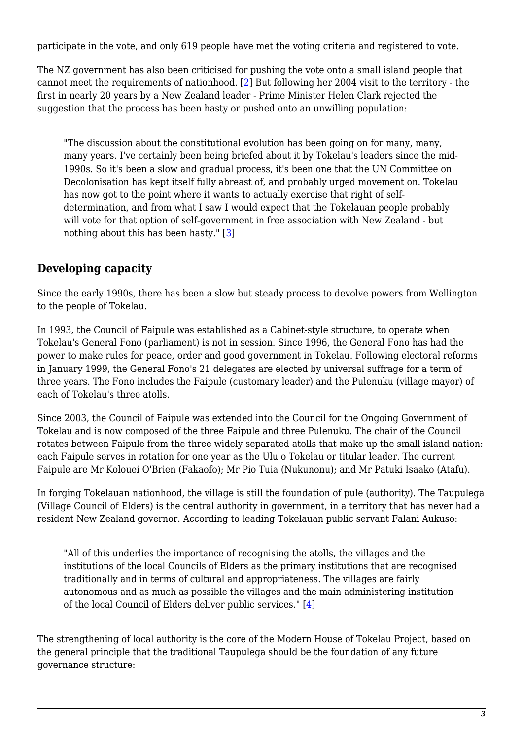participate in the vote, and only 619 people have met the voting criteria and registered to vote.

<span id="page-2-0"></span>The NZ government has also been criticised for pushing the vote onto a small island people that cannot meet the requirements of nationhood. [[2\]](#page-6-1) But following her 2004 visit to the territory - the first in nearly 20 years by a New Zealand leader - Prime Minister Helen Clark rejected the suggestion that the process has been hasty or pushed onto an unwilling population:

"The discussion about the constitutional evolution has been going on for many, many, many years. I've certainly been being briefed about it by Tokelau's leaders since the mid-1990s. So it's been a slow and gradual process, it's been one that the UN Committee on Decolonisation has kept itself fully abreast of, and probably urged movement on. Tokelau has now got to the point where it wants to actually exercise that right of selfdetermination, and from what I saw I would expect that the Tokelauan people probably will vote for that option of self-government in free association with New Zealand - but nothing about this has been hasty." [\[3\]](#page-6-2)

### <span id="page-2-1"></span>**Developing capacity**

Since the early 1990s, there has been a slow but steady process to devolve powers from Wellington to the people of Tokelau.

In 1993, the Council of Faipule was established as a Cabinet-style structure, to operate when Tokelau's General Fono (parliament) is not in session. Since 1996, the General Fono has had the power to make rules for peace, order and good government in Tokelau. Following electoral reforms in January 1999, the General Fono's 21 delegates are elected by universal suffrage for a term of three years. The Fono includes the Faipule (customary leader) and the Pulenuku (village mayor) of each of Tokelau's three atolls.

Since 2003, the Council of Faipule was extended into the Council for the Ongoing Government of Tokelau and is now composed of the three Faipule and three Pulenuku. The chair of the Council rotates between Faipule from the three widely separated atolls that make up the small island nation: each Faipule serves in rotation for one year as the Ulu o Tokelau or titular leader. The current Faipule are Mr Kolouei O'Brien (Fakaofo); Mr Pio Tuia (Nukunonu); and Mr Patuki Isaako (Atafu).

In forging Tokelauan nationhood, the village is still the foundation of pule (authority). The Taupulega (Village Council of Elders) is the central authority in government, in a territory that has never had a resident New Zealand governor. According to leading Tokelauan public servant Falani Aukuso:

"All of this underlies the importance of recognising the atolls, the villages and the institutions of the local Councils of Elders as the primary institutions that are recognised traditionally and in terms of cultural and appropriateness. The villages are fairly autonomous and as much as possible the villages and the main administering institution of the local Council of Elders deliver public services." [[4\]](#page-6-3)

<span id="page-2-2"></span>The strengthening of local authority is the core of the Modern House of Tokelau Project, based on the general principle that the traditional Taupulega should be the foundation of any future governance structure: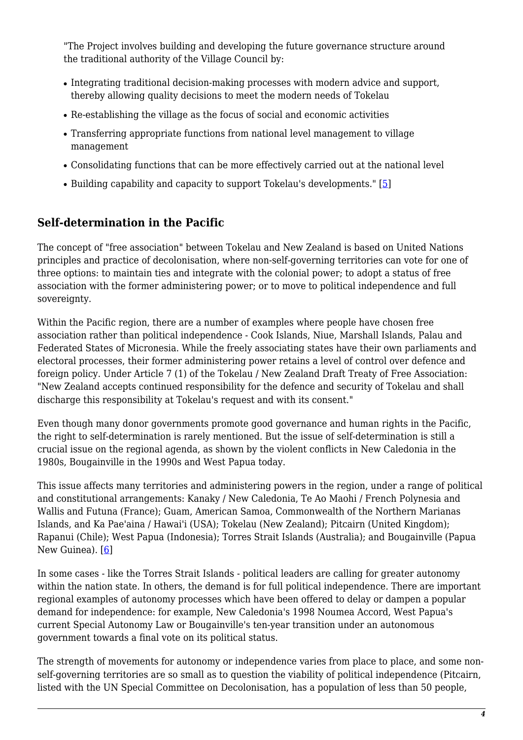"The Project involves building and developing the future governance structure around the traditional authority of the Village Council by:

- Integrating traditional decision-making processes with modern advice and support, thereby allowing quality decisions to meet the modern needs of Tokelau
- Re-establishing the village as the focus of social and economic activities
- Transferring appropriate functions from national level management to village management
- Consolidating functions that can be more effectively carried out at the national level
- Building capability and capacity to support Tokelau's developments."  $[5]$

### <span id="page-3-0"></span>**Self-determination in the Pacific**

The concept of "free association" between Tokelau and New Zealand is based on United Nations principles and practice of decolonisation, where non-self-governing territories can vote for one of three options: to maintain ties and integrate with the colonial power; to adopt a status of free association with the former administering power; or to move to political independence and full sovereignty.

Within the Pacific region, there are a number of examples where people have chosen free association rather than political independence - Cook Islands, Niue, Marshall Islands, Palau and Federated States of Micronesia. While the freely associating states have their own parliaments and electoral processes, their former administering power retains a level of control over defence and foreign policy. Under Article 7 (1) of the Tokelau / New Zealand Draft Treaty of Free Association: "New Zealand accepts continued responsibility for the defence and security of Tokelau and shall discharge this responsibility at Tokelau's request and with its consent."

Even though many donor governments promote good governance and human rights in the Pacific, the right to self-determination is rarely mentioned. But the issue of self-determination is still a crucial issue on the regional agenda, as shown by the violent conflicts in New Caledonia in the 1980s, Bougainville in the 1990s and West Papua today.

This issue affects many territories and administering powers in the region, under a range of political and constitutional arrangements: Kanaky / New Caledonia, Te Ao Maohi / French Polynesia and Wallis and Futuna (France); Guam, American Samoa, Commonwealth of the Northern Marianas Islands, and Ka Pae'aina / Hawai'i (USA); Tokelau (New Zealand); Pitcairn (United Kingdom); Rapanui (Chile); West Papua (Indonesia); Torres Strait Islands (Australia); and Bougainville (Papua New Guinea). [\[6\]](#page-6-5)

<span id="page-3-1"></span>In some cases - like the Torres Strait Islands - political leaders are calling for greater autonomy within the nation state. In others, the demand is for full political independence. There are important regional examples of autonomy processes which have been offered to delay or dampen a popular demand for independence: for example, New Caledonia's 1998 Noumea Accord, West Papua's current Special Autonomy Law or Bougainville's ten-year transition under an autonomous government towards a final vote on its political status.

The strength of movements for autonomy or independence varies from place to place, and some nonself-governing territories are so small as to question the viability of political independence (Pitcairn, listed with the UN Special Committee on Decolonisation, has a population of less than 50 people,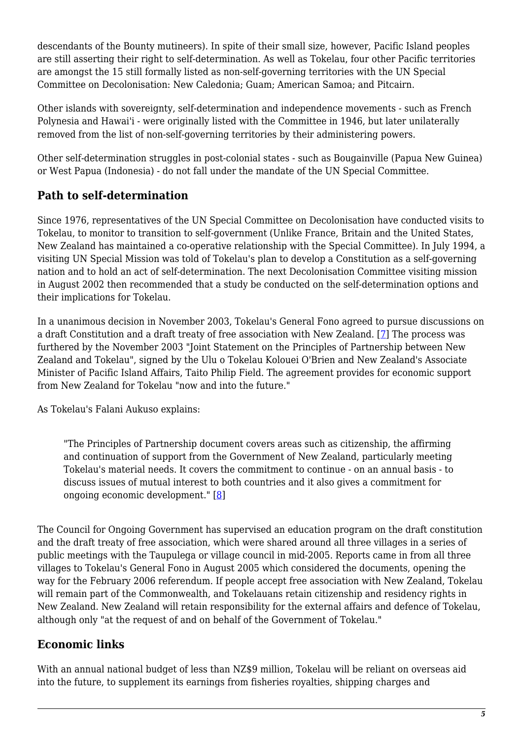descendants of the Bounty mutineers). In spite of their small size, however, Pacific Island peoples are still asserting their right to self-determination. As well as Tokelau, four other Pacific territories are amongst the 15 still formally listed as non-self-governing territories with the UN Special Committee on Decolonisation: New Caledonia; Guam; American Samoa; and Pitcairn.

Other islands with sovereignty, self-determination and independence movements - such as French Polynesia and Hawai'i - were originally listed with the Committee in 1946, but later unilaterally removed from the list of non-self-governing territories by their administering powers.

Other self-determination struggles in post-colonial states - such as Bougainville (Papua New Guinea) or West Papua (Indonesia) - do not fall under the mandate of the UN Special Committee.

# **Path to self-determination**

Since 1976, representatives of the UN Special Committee on Decolonisation have conducted visits to Tokelau, to monitor to transition to self-government (Unlike France, Britain and the United States, New Zealand has maintained a co-operative relationship with the Special Committee). In July 1994, a visiting UN Special Mission was told of Tokelau's plan to develop a Constitution as a self-governing nation and to hold an act of self-determination. The next Decolonisation Committee visiting mission in August 2002 then recommended that a study be conducted on the self-determination options and their implications for Tokelau.

<span id="page-4-0"></span>In a unanimous decision in November 2003, Tokelau's General Fono agreed to pursue discussions on a draft Constitution and a draft treaty of free association with New Zealand. [\[7](#page-7-0)] The process was furthered by the November 2003 "Joint Statement on the Principles of Partnership between New Zealand and Tokelau", signed by the Ulu o Tokelau Kolouei O'Brien and New Zealand's Associate Minister of Pacific Island Affairs, Taito Philip Field. The agreement provides for economic support from New Zealand for Tokelau "now and into the future."

As Tokelau's Falani Aukuso explains:

"The Principles of Partnership document covers areas such as citizenship, the affirming and continuation of support from the Government of New Zealand, particularly meeting Tokelau's material needs. It covers the commitment to continue - on an annual basis - to discuss issues of mutual interest to both countries and it also gives a commitment for ongoing economic development." [[8\]](#page-7-1)

<span id="page-4-1"></span>The Council for Ongoing Government has supervised an education program on the draft constitution and the draft treaty of free association, which were shared around all three villages in a series of public meetings with the Taupulega or village council in mid-2005. Reports came in from all three villages to Tokelau's General Fono in August 2005 which considered the documents, opening the way for the February 2006 referendum. If people accept free association with New Zealand, Tokelau will remain part of the Commonwealth, and Tokelauans retain citizenship and residency rights in New Zealand. New Zealand will retain responsibility for the external affairs and defence of Tokelau, although only "at the request of and on behalf of the Government of Tokelau."

### **Economic links**

With an annual national budget of less than NZ\$9 million, Tokelau will be reliant on overseas aid into the future, to supplement its earnings from fisheries royalties, shipping charges and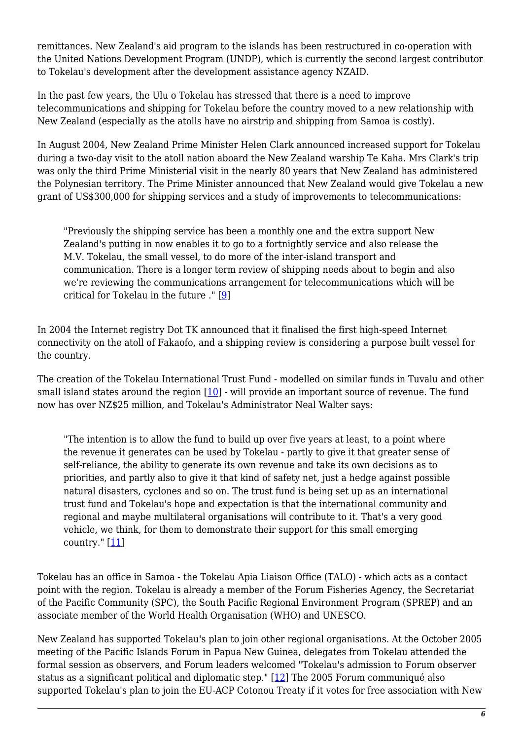remittances. New Zealand's aid program to the islands has been restructured in co-operation with the United Nations Development Program (UNDP), which is currently the second largest contributor to Tokelau's development after the development assistance agency NZAID.

In the past few years, the Ulu o Tokelau has stressed that there is a need to improve telecommunications and shipping for Tokelau before the country moved to a new relationship with New Zealand (especially as the atolls have no airstrip and shipping from Samoa is costly).

In August 2004, New Zealand Prime Minister Helen Clark announced increased support for Tokelau during a two-day visit to the atoll nation aboard the New Zealand warship Te Kaha. Mrs Clark's trip was only the third Prime Ministerial visit in the nearly 80 years that New Zealand has administered the Polynesian territory. The Prime Minister announced that New Zealand would give Tokelau a new grant of US\$300,000 for shipping services and a study of improvements to telecommunications:

"Previously the shipping service has been a monthly one and the extra support New Zealand's putting in now enables it to go to a fortnightly service and also release the M.V. Tokelau, the small vessel, to do more of the inter-island transport and communication. There is a longer term review of shipping needs about to begin and also we're reviewing the communications arrangement for telecommunications which will be critical for Tokelau in the future ." [\[9\]](#page-7-2)

<span id="page-5-0"></span>In 2004 the Internet registry Dot TK announced that it finalised the first high-speed Internet connectivity on the atoll of Fakaofo, and a shipping review is considering a purpose built vessel for the country.

<span id="page-5-1"></span>The creation of the Tokelau International Trust Fund - modelled on similar funds in Tuvalu and other small island states around the region  $[10]$  - will provide an important source of revenue. The fund now has over NZ\$25 million, and Tokelau's Administrator Neal Walter says:

"The intention is to allow the fund to build up over five years at least, to a point where the revenue it generates can be used by Tokelau - partly to give it that greater sense of self-reliance, the ability to generate its own revenue and take its own decisions as to priorities, and partly also to give it that kind of safety net, just a hedge against possible natural disasters, cyclones and so on. The trust fund is being set up as an international trust fund and Tokelau's hope and expectation is that the international community and regional and maybe multilateral organisations will contribute to it. That's a very good vehicle, we think, for them to demonstrate their support for this small emerging country."  $[11]$  $[11]$  $[11]$ 

<span id="page-5-2"></span>Tokelau has an office in Samoa - the Tokelau Apia Liaison Office (TALO) - which acts as a contact point with the region. Tokelau is already a member of the Forum Fisheries Agency, the Secretariat of the Pacific Community (SPC), the South Pacific Regional Environment Program (SPREP) and an associate member of the World Health Organisation (WHO) and UNESCO.

<span id="page-5-3"></span>New Zealand has supported Tokelau's plan to join other regional organisations. At the October 2005 meeting of the Pacific Islands Forum in Papua New Guinea, delegates from Tokelau attended the formal session as observers, and Forum leaders welcomed "Tokelau's admission to Forum observer status as a significant political and diplomatic step." [\[12\]](#page-7-5) The 2005 Forum communiqué also supported Tokelau's plan to join the EU-ACP Cotonou Treaty if it votes for free association with New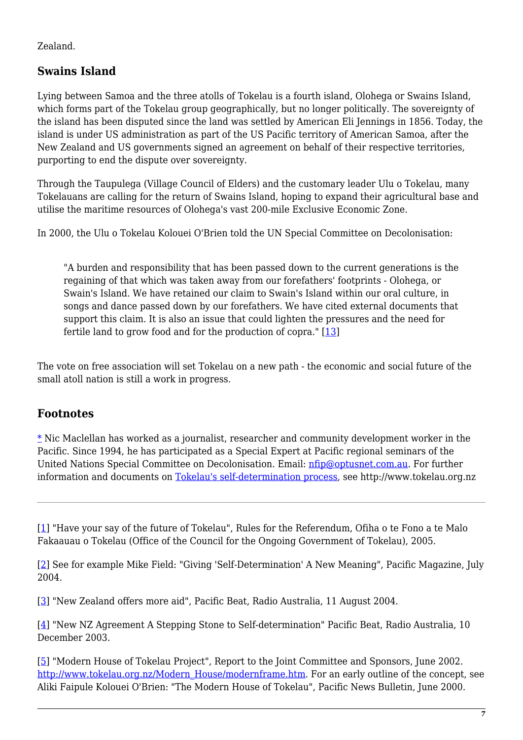Zealand.

## **Swains Island**

Lying between Samoa and the three atolls of Tokelau is a fourth island, Olohega or Swains Island, which forms part of the Tokelau group geographically, but no longer politically. The sovereignty of the island has been disputed since the land was settled by American Eli Jennings in 1856. Today, the island is under US administration as part of the US Pacific territory of American Samoa, after the New Zealand and US governments signed an agreement on behalf of their respective territories, purporting to end the dispute over sovereignty.

Through the Taupulega (Village Council of Elders) and the customary leader Ulu o Tokelau, many Tokelauans are calling for the return of Swains Island, hoping to expand their agricultural base and utilise the maritime resources of Olohega's vast 200-mile Exclusive Economic Zone.

In 2000, the Ulu o Tokelau Kolouei O'Brien told the UN Special Committee on Decolonisation:

"A burden and responsibility that has been passed down to the current generations is the regaining of that which was taken away from our forefathers' footprints - Olohega, or Swain's Island. We have retained our claim to Swain's Island within our oral culture, in songs and dance passed down by our forefathers. We have cited external documents that support this claim. It is also an issue that could lighten the pressures and the need for fertile land to grow food and for the production of copra." [\[13\]](#page-7-6)

<span id="page-6-6"></span>The vote on free association will set Tokelau on a new path - the economic and social future of the small atoll nation is still a work in progress.

#### **Footnotes**

[\\*](#page--1-0) Nic Maclellan has worked as a journalist, researcher and community development worker in the Pacific. Since 1994, he has participated as a Special Expert at Pacific regional seminars of the United Nations Special Committee on Decolonisation. Email: [nfip@optusnet.com.au](mailto:nfip@optusnet.com.au). For further information and documents on [Tokelau's self-determination process](http://www.tokelau.org.nz/), see http://www.tokelau.org.nz

<span id="page-6-0"></span>[\[1\]](#page-1-0) "Have your say of the future of Tokelau", Rules for the Referendum, Ofiha o te Fono a te Malo Fakaauau o Tokelau (Office of the Council for the Ongoing Government of Tokelau), 2005.

<span id="page-6-1"></span>[\[2\]](#page-2-0) See for example Mike Field: "Giving 'Self-Determination' A New Meaning", Pacific Magazine, July 2004.

<span id="page-6-2"></span>[\[3\]](#page-2-1) "New Zealand offers more aid", Pacific Beat, Radio Australia, 11 August 2004.

<span id="page-6-3"></span>[\[4\]](#page-2-2) "New NZ Agreement A Stepping Stone to Self-determination" Pacific Beat, Radio Australia, 10 December 2003.

<span id="page-6-5"></span><span id="page-6-4"></span>[\[5\]](#page-3-0) "Modern House of Tokelau Project", Report to the Joint Committee and Sponsors, June 2002. [http://www.tokelau.org.nz/Modern\\_House/modernframe.htm.](http://www.tokelau.org.nz/Modern_House/modernframe.htm) For an early outline of the concept, see Aliki Faipule Kolouei O'Brien: "The Modern House of Tokelau", Pacific News Bulletin, June 2000.